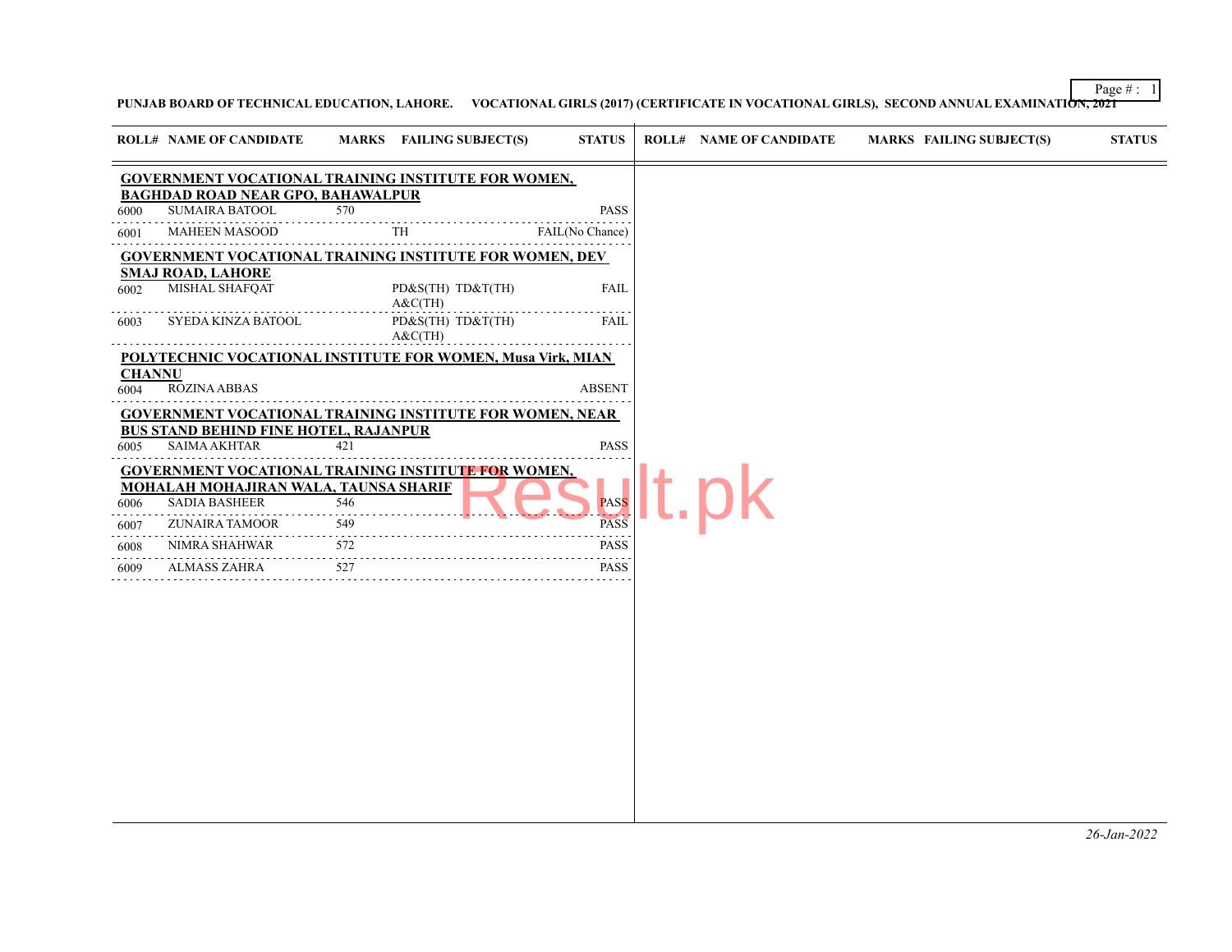Page  $\# : 1$ 

**PUNJAB BOARD OF TECHNICAL EDUCATION, LAHORE. VOCATIONAL GIRLS (2017) (CERTIFICATE IN VOCATIONAL GIRLS), SECOND ANNUAL EXAMINATION, 2021**

| <b>ROLL# NAME OF CANDIDATE</b><br>MARKS FAILING SUBJECT(S)<br><b>STATUS</b><br><b>ROLL# NAME OF CANDIDATE</b><br><b>MARKS FAILING SUBJECT(S)</b><br><b>STATUS</b><br><b>GOVERNMENT VOCATIONAL TRAINING INSTITUTE FOR WOMEN,</b><br><b>BAGHDAD ROAD NEAR GPO, BAHAWALPUR</b><br><b>SUMAIRA BATOOL</b><br>570<br><b>PASS</b><br>6000<br>MAHEEN MASOOD<br><b>TH</b><br>FAIL(No Chance)<br>6001<br><b>GOVERNMENT VOCATIONAL TRAINING INSTITUTE FOR WOMEN, DEV</b><br><b>SMAJ ROAD, LAHORE</b><br>MISHAL SHAFQAT<br>PD&S(TH) TD&T(TH)<br><b>FAIL</b><br>6002<br>A&C(TH)<br>SYEDA KINZA BATOOL<br>PD&S(TH) TD&T(TH)<br><b>FAIL</b><br>6003<br>A&C(TH)<br><b>POLYTECHNIC VOCATIONAL INSTITUTE FOR WOMEN, Musa Virk, MIAN</b><br><b>CHANNU</b><br><b>ROZINA ABBAS</b><br><b>ABSENT</b><br>6004<br><b>GOVERNMENT VOCATIONAL TRAINING INSTITUTE FOR WOMEN, NEAR</b><br><b>BUS STAND BEHIND FINE HOTEL, RAJANPUR</b><br><b>SAIMA AKHTAR</b><br><b>PASS</b><br>421<br>6005<br><b>GOVERNMENT VOCATIONAL TRAINING INSTITUTE FOR WOMEN,</b><br><b>MOHALAH MOHAJIRAN WALA, TAUNSA SHARIF</b><br><b>SADIA BASHEER</b><br><b>PASS</b><br>546<br>6006<br><b>PASS</b><br>ZUNAIRA TAMOOR<br>549<br>6007<br>$\sim$ $\sim$ $\sim$ $\sim$<br><b>PASS</b><br>NIMRA SHAHWAR<br>572<br>6008<br>527<br><b>PASS</b><br>ALMASS ZAHRA<br>6009 |  |  |  |  |  |
|----------------------------------------------------------------------------------------------------------------------------------------------------------------------------------------------------------------------------------------------------------------------------------------------------------------------------------------------------------------------------------------------------------------------------------------------------------------------------------------------------------------------------------------------------------------------------------------------------------------------------------------------------------------------------------------------------------------------------------------------------------------------------------------------------------------------------------------------------------------------------------------------------------------------------------------------------------------------------------------------------------------------------------------------------------------------------------------------------------------------------------------------------------------------------------------------------------------------------------------------------------------------------------------------------------------|--|--|--|--|--|
|                                                                                                                                                                                                                                                                                                                                                                                                                                                                                                                                                                                                                                                                                                                                                                                                                                                                                                                                                                                                                                                                                                                                                                                                                                                                                                                |  |  |  |  |  |
|                                                                                                                                                                                                                                                                                                                                                                                                                                                                                                                                                                                                                                                                                                                                                                                                                                                                                                                                                                                                                                                                                                                                                                                                                                                                                                                |  |  |  |  |  |
|                                                                                                                                                                                                                                                                                                                                                                                                                                                                                                                                                                                                                                                                                                                                                                                                                                                                                                                                                                                                                                                                                                                                                                                                                                                                                                                |  |  |  |  |  |
|                                                                                                                                                                                                                                                                                                                                                                                                                                                                                                                                                                                                                                                                                                                                                                                                                                                                                                                                                                                                                                                                                                                                                                                                                                                                                                                |  |  |  |  |  |
|                                                                                                                                                                                                                                                                                                                                                                                                                                                                                                                                                                                                                                                                                                                                                                                                                                                                                                                                                                                                                                                                                                                                                                                                                                                                                                                |  |  |  |  |  |
|                                                                                                                                                                                                                                                                                                                                                                                                                                                                                                                                                                                                                                                                                                                                                                                                                                                                                                                                                                                                                                                                                                                                                                                                                                                                                                                |  |  |  |  |  |
|                                                                                                                                                                                                                                                                                                                                                                                                                                                                                                                                                                                                                                                                                                                                                                                                                                                                                                                                                                                                                                                                                                                                                                                                                                                                                                                |  |  |  |  |  |
|                                                                                                                                                                                                                                                                                                                                                                                                                                                                                                                                                                                                                                                                                                                                                                                                                                                                                                                                                                                                                                                                                                                                                                                                                                                                                                                |  |  |  |  |  |
|                                                                                                                                                                                                                                                                                                                                                                                                                                                                                                                                                                                                                                                                                                                                                                                                                                                                                                                                                                                                                                                                                                                                                                                                                                                                                                                |  |  |  |  |  |
|                                                                                                                                                                                                                                                                                                                                                                                                                                                                                                                                                                                                                                                                                                                                                                                                                                                                                                                                                                                                                                                                                                                                                                                                                                                                                                                |  |  |  |  |  |
|                                                                                                                                                                                                                                                                                                                                                                                                                                                                                                                                                                                                                                                                                                                                                                                                                                                                                                                                                                                                                                                                                                                                                                                                                                                                                                                |  |  |  |  |  |
|                                                                                                                                                                                                                                                                                                                                                                                                                                                                                                                                                                                                                                                                                                                                                                                                                                                                                                                                                                                                                                                                                                                                                                                                                                                                                                                |  |  |  |  |  |
|                                                                                                                                                                                                                                                                                                                                                                                                                                                                                                                                                                                                                                                                                                                                                                                                                                                                                                                                                                                                                                                                                                                                                                                                                                                                                                                |  |  |  |  |  |
|                                                                                                                                                                                                                                                                                                                                                                                                                                                                                                                                                                                                                                                                                                                                                                                                                                                                                                                                                                                                                                                                                                                                                                                                                                                                                                                |  |  |  |  |  |
|                                                                                                                                                                                                                                                                                                                                                                                                                                                                                                                                                                                                                                                                                                                                                                                                                                                                                                                                                                                                                                                                                                                                                                                                                                                                                                                |  |  |  |  |  |
|                                                                                                                                                                                                                                                                                                                                                                                                                                                                                                                                                                                                                                                                                                                                                                                                                                                                                                                                                                                                                                                                                                                                                                                                                                                                                                                |  |  |  |  |  |
|                                                                                                                                                                                                                                                                                                                                                                                                                                                                                                                                                                                                                                                                                                                                                                                                                                                                                                                                                                                                                                                                                                                                                                                                                                                                                                                |  |  |  |  |  |
|                                                                                                                                                                                                                                                                                                                                                                                                                                                                                                                                                                                                                                                                                                                                                                                                                                                                                                                                                                                                                                                                                                                                                                                                                                                                                                                |  |  |  |  |  |
|                                                                                                                                                                                                                                                                                                                                                                                                                                                                                                                                                                                                                                                                                                                                                                                                                                                                                                                                                                                                                                                                                                                                                                                                                                                                                                                |  |  |  |  |  |
|                                                                                                                                                                                                                                                                                                                                                                                                                                                                                                                                                                                                                                                                                                                                                                                                                                                                                                                                                                                                                                                                                                                                                                                                                                                                                                                |  |  |  |  |  |
|                                                                                                                                                                                                                                                                                                                                                                                                                                                                                                                                                                                                                                                                                                                                                                                                                                                                                                                                                                                                                                                                                                                                                                                                                                                                                                                |  |  |  |  |  |
|                                                                                                                                                                                                                                                                                                                                                                                                                                                                                                                                                                                                                                                                                                                                                                                                                                                                                                                                                                                                                                                                                                                                                                                                                                                                                                                |  |  |  |  |  |
|                                                                                                                                                                                                                                                                                                                                                                                                                                                                                                                                                                                                                                                                                                                                                                                                                                                                                                                                                                                                                                                                                                                                                                                                                                                                                                                |  |  |  |  |  |
|                                                                                                                                                                                                                                                                                                                                                                                                                                                                                                                                                                                                                                                                                                                                                                                                                                                                                                                                                                                                                                                                                                                                                                                                                                                                                                                |  |  |  |  |  |
|                                                                                                                                                                                                                                                                                                                                                                                                                                                                                                                                                                                                                                                                                                                                                                                                                                                                                                                                                                                                                                                                                                                                                                                                                                                                                                                |  |  |  |  |  |
|                                                                                                                                                                                                                                                                                                                                                                                                                                                                                                                                                                                                                                                                                                                                                                                                                                                                                                                                                                                                                                                                                                                                                                                                                                                                                                                |  |  |  |  |  |
|                                                                                                                                                                                                                                                                                                                                                                                                                                                                                                                                                                                                                                                                                                                                                                                                                                                                                                                                                                                                                                                                                                                                                                                                                                                                                                                |  |  |  |  |  |
|                                                                                                                                                                                                                                                                                                                                                                                                                                                                                                                                                                                                                                                                                                                                                                                                                                                                                                                                                                                                                                                                                                                                                                                                                                                                                                                |  |  |  |  |  |
|                                                                                                                                                                                                                                                                                                                                                                                                                                                                                                                                                                                                                                                                                                                                                                                                                                                                                                                                                                                                                                                                                                                                                                                                                                                                                                                |  |  |  |  |  |
|                                                                                                                                                                                                                                                                                                                                                                                                                                                                                                                                                                                                                                                                                                                                                                                                                                                                                                                                                                                                                                                                                                                                                                                                                                                                                                                |  |  |  |  |  |
|                                                                                                                                                                                                                                                                                                                                                                                                                                                                                                                                                                                                                                                                                                                                                                                                                                                                                                                                                                                                                                                                                                                                                                                                                                                                                                                |  |  |  |  |  |
|                                                                                                                                                                                                                                                                                                                                                                                                                                                                                                                                                                                                                                                                                                                                                                                                                                                                                                                                                                                                                                                                                                                                                                                                                                                                                                                |  |  |  |  |  |
|                                                                                                                                                                                                                                                                                                                                                                                                                                                                                                                                                                                                                                                                                                                                                                                                                                                                                                                                                                                                                                                                                                                                                                                                                                                                                                                |  |  |  |  |  |